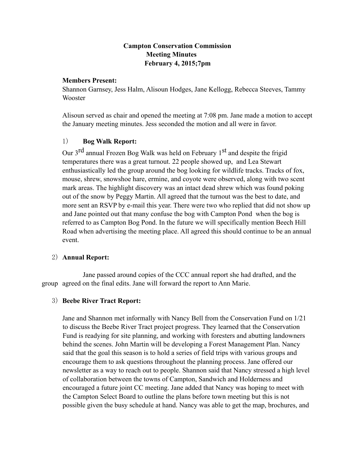# **Campton Conservation Commission Meeting Minutes February 4, 2015;7pm**

#### **Members Present:**

Shannon Garnsey, Jess Halm, Alisoun Hodges, Jane Kellogg, Rebecca Steeves, Tammy Wooster

Alisoun served as chair and opened the meeting at 7:08 pm. Jane made a motion to accept the January meeting minutes. Jess seconded the motion and all were in favor.

## 1) **Bog Walk Report:**

Our 3<sup>rd</sup> annual Frozen Bog Walk was held on February 1<sup>st</sup> and despite the frigid temperatures there was a great turnout. 22 people showed up, and Lea Stewart enthusiastically led the group around the bog looking for wildlife tracks. Tracks of fox, mouse, shrew, snowshoe hare, ermine, and coyote were observed, along with two scent mark areas. The highlight discovery was an intact dead shrew which was found poking out of the snow by Peggy Martin. All agreed that the turnout was the best to date, and more sent an RSVP by e-mail this year. There were two who replied that did not show up and Jane pointed out that many confuse the bog with Campton Pond when the bog is referred to as Campton Bog Pond. In the future we will specifically mention Beech Hill Road when advertising the meeting place. All agreed this should continue to be an annual event.

## 2) **Annual Report:**

Jane passed around copies of the CCC annual report she had drafted, and the group agreed on the final edits. Jane will forward the report to Ann Marie.

## 3) **Beebe River Tract Report:**

Jane and Shannon met informally with Nancy Bell from the Conservation Fund on 1/21 to discuss the Beebe River Tract project progress. They learned that the Conservation Fund is readying for site planning, and working with foresters and abutting landowners behind the scenes. John Martin will be developing a Forest Management Plan. Nancy said that the goal this season is to hold a series of field trips with various groups and encourage them to ask questions throughout the planning process. Jane offered our newsletter as a way to reach out to people. Shannon said that Nancy stressed a high level of collaboration between the towns of Campton, Sandwich and Holderness and encouraged a future joint CC meeting. Jane added that Nancy was hoping to meet with the Campton Select Board to outline the plans before town meeting but this is not possible given the busy schedule at hand. Nancy was able to get the map, brochures, and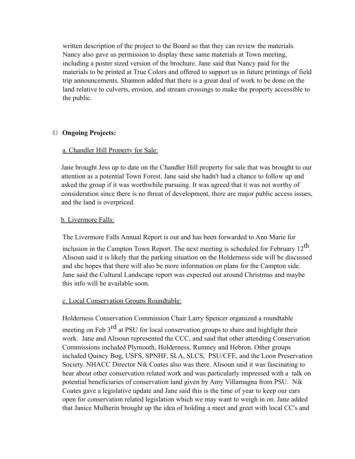written description of the project to the Board so that they can review the materials. Nancy also gave us permission to display these same materials at Town meeting, including a poster sized version of the brochure. Jane said that Nancy paid for the materials to be printed at True Colors and offered to support us in future printings of field trip announcements. Shannon added that there is a great deal of work to be done on the land relative to culverts, erosion, and stream crossings to make the property accessible to the public.

## 4) **Ongoing Projects:**

## a. Chandler Hill Property for Sale:

Jane brought Jess up to date on the Chandler Hill property for sale that was brought to our attention as a potential Town Forest. Jane said she hadn't had a chance to follow up and asked the group if it was worthwhile pursuing. It was agreed that it was not worthy of consideration since there is no threat of development, there are major public access issues, and the land is overpriced.

## b. Livermore Falls:

The Livermore Falls Annual Report is out and has been forwarded to Ann Marie for

inclusion in the Campton Town Report. The next meeting is scheduled for February  $12<sup>th</sup>$ . Alisoun said it is likely that the parking situation on the Holderness side will be discussed and she hopes that there will also be more information on plans for the Campton side. Jane said the Cultural Landscape report was expected out around Christmas and maybe this info will be available soon.

## c. Local Conservation Groups Roundtable:

Holderness Conservation Commission Chair Larry Spencer organized a roundtable meeting on Feb 3<sup>rd</sup> at PSU for local conservation groups to share and highlight their work. Jane and Alisoun represented the CCC, and said that other attending Conservation Commissions included Plymouth, Holderness, Rumney and Hebron. Other groups included Quincy Bog, USFS, SPNHF, SLA, SLCS, PSU/CFE, and the Loon Preservation Society. NHACC Director Nik Coates also was there. Alisoun said it was fascinating to hear about other conservation related work and was particularly impressed with a talk on potential beneficiaries of conservation land given by Amy Villamagna from PSU. Nik Coates gave a legislative update and Jane said this is the time of year to keep our ears open for conservation related legislation which we may want to weigh in on. Jane added that Janice Mulherin brought up the idea of holding a meet and greet with local CC's and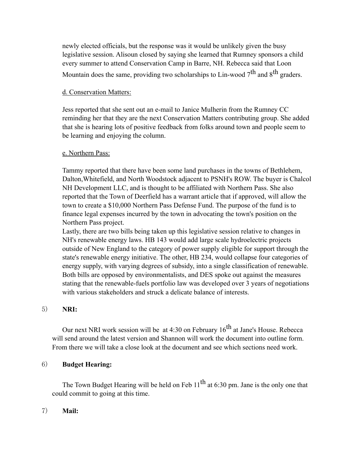newly elected officials, but the response was it would be unlikely given the busy legislative session. Alisoun closed by saying she learned that Rumney sponsors a child every summer to attend Conservation Camp in Barre, NH. Rebecca said that Loon Mountain does the same, providing two scholarships to Lin-wood  $7<sup>th</sup>$  and  $8<sup>th</sup>$  graders.

## d. Conservation Matters:

Jess reported that she sent out an e-mail to Janice Mulherin from the Rumney CC reminding her that they are the next Conservation Matters contributing group. She added that she is hearing lots of positive feedback from folks around town and people seem to be learning and enjoying the column.

## e. Northern Pass:

Tammy reported that there have been some land purchases in the towns of Bethlehem, Dalton,Whitefield, and North Woodstock adjacent to PSNH's ROW. The buyer is Chalcol NH Development LLC, and is thought to be affiliated with Northern Pass. She also reported that the Town of Deerfield has a warrant article that if approved, will allow the town to create a \$10,000 Northern Pass Defense Fund. The purpose of the fund is to finance legal expenses incurred by the town in advocating the town's position on the Northern Pass project.

Lastly, there are two bills being taken up this legislative session relative to changes in NH's renewable energy laws. HB 143 would add large scale hydroelectric projects outside of New England to the category of power supply eligible for support through the state's renewable energy initiative. The other, HB 234, would collapse four categories of energy supply, with varying degrees of subsidy, into a single classification of renewable. Both bills are opposed by environmentalists, and DES spoke out against the measures stating that the renewable-fuels portfolio law was developed over 3 years of negotiations with various stakeholders and struck a delicate balance of interests.

## 5) **NRI:**

Our next NRI work session will be at 4:30 on February  $16<sup>th</sup>$  at Jane's House. Rebecca will send around the latest version and Shannon will work the document into outline form. From there we will take a close look at the document and see which sections need work.

## 6) **Budget Hearing:**

The Town Budget Hearing will be held on Feb  $11<sup>th</sup>$  at 6:30 pm. Jane is the only one that could commit to going at this time.

# 7) **Mail:**